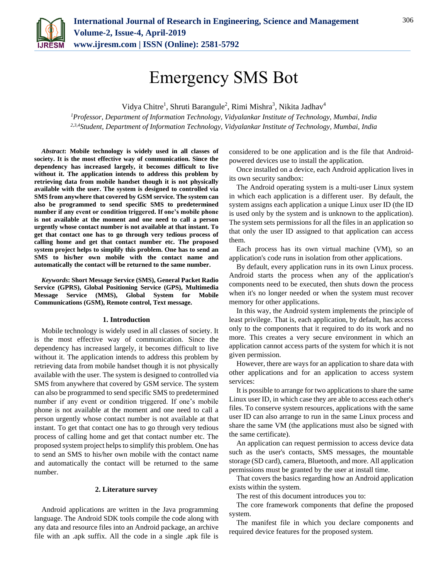

# Emergency SMS Bot

Vidya Chitre<sup>1</sup>, Shruti Barangule<sup>2</sup>, Rimi Mishra<sup>3</sup>, Nikita Jadhav<sup>4</sup>

*<sup>1</sup>Professor, Department of Information Technology, Vidyalankar Institute of Technology, Mumbai, India 2,3,4Student, Department of Information Technology, Vidyalankar Institute of Technology, Mumbai, India*

*Abstract***: Mobile technology is widely used in all classes of society. It is the most effective way of communication. Since the dependency has increased largely, it becomes difficult to live without it. The application intends to address this problem by retrieving data from mobile handset though it is not physically available with the user. The system is designed to controlled via SMS from anywhere that covered by GSM service. The system can also be programmed to send specific SMS to predetermined number if any event or condition triggered. If one's mobile phone is not available at the moment and one need to call a person urgently whose contact number is not available at that instant. To get that contact one has to go through very tedious process of calling home and get that contact number etc. The proposed system project helps to simplify this problem. One has to send an SMS to his/her own mobile with the contact name and automatically the contact will be returned to the same number.**

*Keywords***: Short Message Service (SMS), General Packet Radio Service (GPRS), Global Positioning Service (GPS), Multimedia Message Service (MMS), Global System for Mobile Communications (GSM), Remote control, Text message.**

#### **1. Introduction**

Mobile technology is widely used in all classes of society. It is the most effective way of communication. Since the dependency has increased largely, it becomes difficult to live without it. The application intends to address this problem by retrieving data from mobile handset though it is not physically available with the user. The system is designed to controlled via SMS from anywhere that covered by GSM service. The system can also be programmed to send specific SMS to predetermined number if any event or condition triggered. If one's mobile phone is not available at the moment and one need to call a person urgently whose contact number is not available at that instant. To get that contact one has to go through very tedious process of calling home and get that contact number etc. The proposed system project helps to simplify this problem. One has to send an SMS to his/her own mobile with the contact name and automatically the contact will be returned to the same number.

#### **2. Literature survey**

Android applications are written in the Java programming language. The Android SDK tools compile the code along with any data and resource files into an Android package, an archive file with an .apk suffix. All the code in a single .apk file is

considered to be one application and is the file that Androidpowered devices use to install the application.

Once installed on a device, each Android application lives in its own security sandbox:

The Android operating system is a multi-user Linux system in which each application is a different user. By default, the system assigns each application a unique Linux user ID (the ID is used only by the system and is unknown to the application). The system sets permissions for all the files in an application so that only the user ID assigned to that application can access them.

Each process has its own virtual machine (VM), so an application's code runs in isolation from other applications.

By default, every application runs in its own Linux process. Android starts the process when any of the application's components need to be executed, then shuts down the process when it's no longer needed or when the system must recover memory for other applications.

In this way, the Android system implements the principle of least privilege. That is, each application, by default, has access only to the components that it required to do its work and no more. This creates a very secure environment in which an application cannot access parts of the system for which it is not given permission.

However, there are ways for an application to share data with other applications and for an application to access system services:

It is possible to arrange for two applications to share the same Linux user ID, in which case they are able to access each other's files. To conserve system resources, applications with the same user ID can also arrange to run in the same Linux process and share the same VM (the applications must also be signed with the same certificate).

An application can request permission to access device data such as the user's contacts, SMS messages, the mountable storage (SD card), camera, Bluetooth, and more. All application permissions must be granted by the user at install time.

That covers the basics regarding how an Android application exists within the system.

The rest of this document introduces you to:

The core framework components that define the proposed system.

The manifest file in which you declare components and required device features for the proposed system.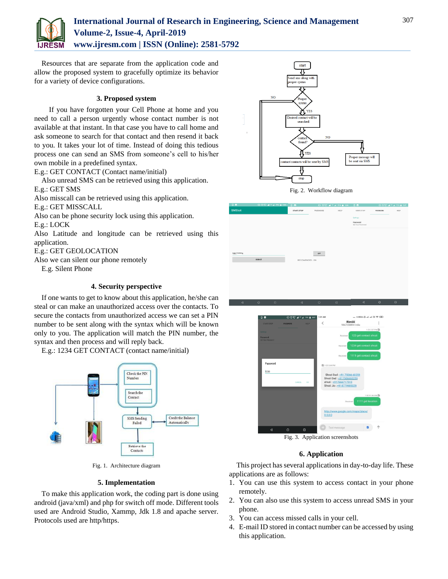

# **International Journal of Research in Engineering, Science and Management Volume-2, Issue-4, April-2019 www.ijresm.com | ISSN (Online): 2581-5792**

Resources that are separate from the application code and allow the proposed system to gracefully optimize its behavior for a variety of device configurations.

#### **3. Proposed system**

If you have forgotten your Cell Phone at home and you need to call a person urgently whose contact number is not available at that instant. In that case you have to call home and ask someone to search for that contact and then resend it back to you. It takes your lot of time. Instead of doing this tedious process one can send an SMS from someone's cell to his/her own mobile in a predefined syntax.

E.g.: GET CONTACT (Contact name/initial)

Also unread SMS can be retrieved using this application. E.g.: GET SMS

Also misscall can be retrieved using this application.

E.g.: GET MISSCALL

Also can be phone security lock using this application.

E.g.: LOCK

Also Latitude and longitude can be retrieved using this application.

E.g.: GET GEOLOCATION

Also we can silent our phone remotely

E.g. Silent Phone

## **4. Security perspective**

If one wants to get to know about this application, he/she can steal or can make an unauthorized access over the contacts. To secure the contacts from unauthorized access we can set a PIN number to be sent along with the syntax which will be known only to you. The application will match the PIN number, the syntax and then process and will reply back.

E.g.: 1234 GET CONTACT (contact name/initial)



Fig. 1. Architecture diagram

#### **5. Implementation**

To make this application work, the coding part is done using android (java/xml) and php for switch off mode. Different tools used are Android Studio, Xammp, Jdk 1.8 and apache server. Protocols used are http/https.



| $\mathbf{u}$ and |                   |                      |          | <b><i>AND POINT AT A REAL PROPERTY AND REAL</i></b> |                               |          |        |
|------------------|-------------------|----------------------|----------|-----------------------------------------------------|-------------------------------|----------|--------|
| <b>SMSbot</b>    |                   | \$TART/STOP          | PASSWORD | HELP                                                | START/STOP                    | PASSWORD | HELP   |
|                  |                   |                      |          |                                                     | Settings                      |          |        |
|                  |                   |                      |          |                                                     | Password<br>Set Your Password |          |        |
|                  |                   |                      |          |                                                     |                               |          |        |
|                  |                   |                      |          |                                                     |                               |          |        |
|                  |                   |                      |          |                                                     |                               |          |        |
| 9867*****4       |                   |                      | on       |                                                     |                               |          |        |
|                  | <b>SUBMIT</b>     | RECOMENDED: ON       |          |                                                     |                               |          |        |
|                  |                   |                      |          |                                                     |                               |          |        |
|                  |                   |                      |          |                                                     |                               |          |        |
|                  |                   |                      |          |                                                     |                               |          |        |
|                  |                   |                      |          |                                                     |                               |          |        |
|                  |                   |                      |          |                                                     |                               |          |        |
|                  |                   |                      |          |                                                     |                               |          |        |
| $\triangleleft$  | $\circ$<br>$\Box$ | $\blacktriangleleft$ | $\circ$  | $\Box$                                              | $\blacktriangleleft$          | $\circ$  | $\Box$ |
|                  |                   |                      |          |                                                     |                               |          |        |



Fig. 3. Application screenshots

### **6. Application**

This project has several applications in day-to-day life. These applications are as follows:

- 1. You can use this system to access contact in your phone remotely.
- 2. You can also use this system to access unread SMS in your phone.
- 3. You can access missed calls in your cell.
- 4. E-mail ID stored in contact number can be accessed by using this application.